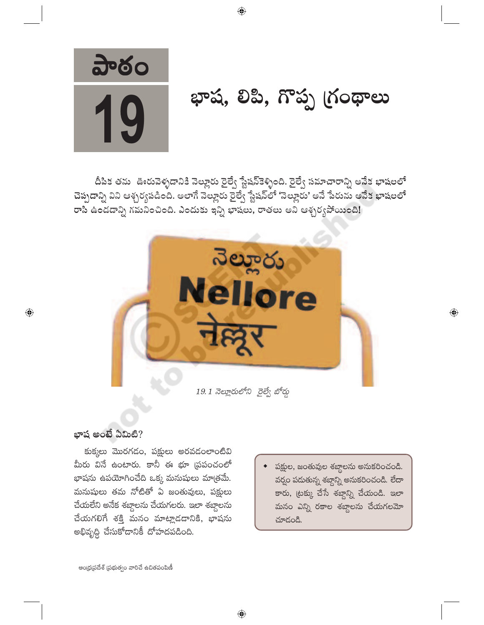

# భాష, లిపి, గొప్ప గ్రంథాలు

దీపిక తను ఊరువెళ్ళడానికి నెల్లూరు రైల్వే స్టేషన్కెళ్ళింది. రైల్వే సమాచారాన్ని అనేక భాషలలో చెప్పడాన్ని విని ఆశ్చర్యపడింది. అలాగే నెల్లూరు రైల్వే స్టేషన్లో 'నెల్లూరు' అనే పేరును అనేక భాషలలో రాసి ఉండడాన్ని గమనించింది. ఎందుకు ఇన్ని భాషలు, రాతలు అని ఆశ్చర్యపోయింది!



19.1 నెల్లూరులోని రైల్వే బోర్డు

 $\bigoplus$ 

#### భాష అంటే ఏమిటి?

 $\bigoplus$ 

కుక్కలు మొరగడం, పక్షులు అరవడంలాంటివి మీరు వినే ఉంటారు. కానీ ఈ భూ (పపంచంలో భాషను ఉపయోగించేది ఒక్క మనుషులు మాత్రమే. మనుషులు తమ నోటితో ఏ జంతువులు, పక్షులు చేయలేని అనేక శబ్దాలను చేయగలరు. ఇలా శబ్దాలను చేయగలిగే శక్తి మనం మాట్లాడడానికి, భాషను అభివృద్ధి చేసుకోదానికీ దోహదపడింది.

• పక్షుల, జంతువుల శబ్దాలను అనుకరించండి. వర్షం పదుతున్న శబ్దాన్ని అనుకరించండి. లేదా కారు, ట్రక్కు చేసే శబ్దాన్ని చేయండి. ఇలా మనం ఎన్ని రకాల శబ్దాలను చేయగలమో చూదండి.

 $\overline{\mathbb{Q}}$ 

ఆంధ్రప్రదేశ్ (పభుత్వం వారిచే ఉచితపంపిణీ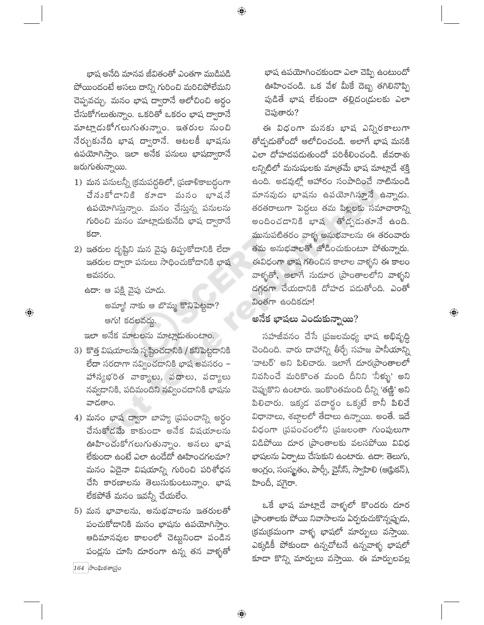భాష అనేది మానవ జీవితంతో ఎంతగా ముడిపడి పోయిందంటే అసలు దాన్ని గురించి మరిచిపోలేమని చెప్పవచ్చు. మనం భాష ద్వారానే ఆలోచించి అర్<mark>గ</mark>ం చేసుకోగలుతున్నాం. ఒకరితో ఒకరం భాష ద్వారానే మాట్లాడుకోగలుగుతున్నాం. ఇతరుల నుంచి నేర్చుకునేది భాష ద్వారానే. ఆటలకీ భాషను ఉపయోగిస్తాం. ఇలా అనేక పనులు భాషద్వారానే జరుగుతున్నాయి.

- 1) 'మన పనులన్నీ (కమపద్ధతిలో, 'ప్రణాళికాబద్దంగా చేనుకోడానికి కూడా వునం భాషనే ఉపయోగిస్తున్నాం. మనం చేస్తున్న పనులను గురించి మనం మాట్లాడుకునేది భాష ద్వారానే కదా.
- 2) ఇతరుల దృష్టిని మన వైపు తిప్పుకోడానికి లేదా ఇతరుల ద్వారా పనులు సాధించుకోదానికి భాష అవసరం.
	- ఉదా: ఆ పక్షి వైపు చూడు.

 $\bigoplus$ 

- అమ్మా! నాకు ఆ బొమ్మ కొనిపెట్టవా? ఆగు! కదలవద్దు.
- ఇలా అనేక మాటలను మాట్లాదుతుంటాం.
- 3) కొత్త విషయాలను సృష్టించడానికి / కనిపెట్టడానికి లేదా సరదాగా నవ్వించడానికి భాష అవసరం $-$ హాస్యభరిత వాక్యాలు, పదాలు, పద్యాలు నవ్వడానికి, పదిమందిని నవ్వించడానికి భాషను వాదతాం.
- 4) మనం భాష ద్వారా బాహ్య (పపంచాన్ని అర్థం చేసుకోడమే కాకుండా అనేక విషయాలను ఊహించుకోగలుగుతున్నాం. అసలు భాష లేకుందా ఉంటే ఎలా ఉండేదో ఊహించగలమా? మనం ఏదైనా విషయాన్ని గురించి పరిశోధన చేసి కారణాలను తెలుసుకుంటున్నాం. భాష లేకపోతే మనం ఇవన్నీ చేయలేం.
- $5$ ) మన భావాలను, అనుభవాలను ఇతరులతో సంచుకోదానికి మనం భాషను ఉపయోగిస్తాం. ఆదిమానవుల కాలంలో చెట్టునిండా పండిన పండ్లను చూసి దూరంగా ఉన్న తన వాళ్ళతో

 $164$  సాంఘికశా(స్తం

భాష ఉపయోగించకుండా ఎలా చెప్పి ఉంటుందో ఊహించండి. ఒక వేళ మీకే దెబ్బ తగిలినొప్పి పుడితే భాష లేకుండా తల్లిదం(డులకు ఎలా చెపుతారు?

ఈ విధంగా మనకు భాష ఎన్నిరకాలుగా తోద్భదుతోందో ఆలోచించండి. అలాగే భాష మనకి ఎలా దోహదపడుతుందో పరిశీలించండి. జీవరాశు లన్నిటిలో మనుషులకు మా(తమే భాష మాట్లాడే శక్తి ఉంది. అడవుల్లో ఆహారం సంపాదించే నాటినుండి మానవుడు భాషను ఉపయోగిస్తూనే ఉన్నాడు. తరతరాలుగా పెద్దలు తమ పిల్లలకు సమాచారాన్ని అందించడానికి భాష తోడృడుతూనే ఉంది. మునుపటితరం వాళ్ళ అనుభవాలను ఈ తరంవారు తమ అనుభవాలతో జోడించుకుంటూ పోతున్నారు. ఈవిధంగా భాష గతించిన కాలాల వాళ్ళని ఈ కాలం వాళ్ళతో, అలాగే సుదూర (పాంతాలలోని వాళ్ళని దగ్గరగా చేయడానికి దోహద పడుతోంది. ఎంతో వింతగా ఉందికదూ!

 $\bigoplus$ 

#### <u>అనేక భాషలు ఎందుకున్నాయి?</u>

సహజీవనం చేసే (పజలమధ్య భాష అభివృద్ధి చెందింది. వారు దాహాన్ని తీర్చే సహజ పానీయాన్ని 'వాటర్' అని పిలిచారు. ఇలాగే దూర్మపాంతాలలో నివసించే మరికొంత మంది దీనిని 'నీళ్ళు' అని చెప్పుకొని ఉంటారు. ఇంకొంతమంది దీన్ని 'తణ్ణి' అని పిలిచారు. ఇక్కడ పదార్థం ఒక్కటే కానీ పిలిచే విధానాలు, శబ్దాలలో తేదాలు ఉన్నాయి. అంతే. ఇదే విధంగా (పపంచంలోని (పజలంతా గుంపులుగా విడిపోయి దూర (పాంతాలకు వలసపోయి వివిధ భాషలను ఏర్పాటు చేసుకుని ఉంటారు. ఉదా: తెలుగు, ఆంగ్లం, సంస్థ్రతం, పార్సీ, చైనీస్, స్వాహిలి (ఆక్రికన్), హిందీ, వగైరా.

ఒకే భాష మాట్లాడే వాళ్ళలో కొందరు దూర (పాంతాలకు పోయి నివాసాలను ఏర్పరుచుకొన్నప్పుడు, క్రమక్రమంగా వాళ్ళ భాషలో మార్పులు వస్తాయి. ఎక్కడికీ పోకుండా ఉన్నచోటనే ఉన్నవాళ్ళ భాషలో కూడా కొన్ని మార్పులు వస్తాయి. ఈ మార్పులవల్ల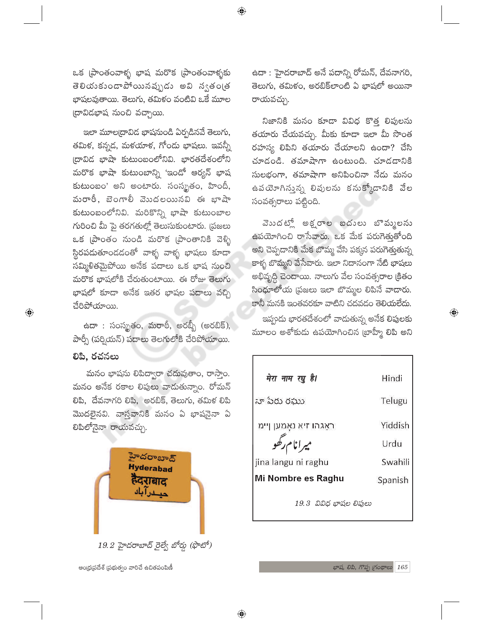ఒక (పాంతంవాళ్ళ భాష మరొక (పాంతంవాళ్ళకు తెలియకుండాపోయినప్పుడు అవి న్వతండ్ర భాషలవుతాయి. తెలుగు, తమిళం వంటివి ఒకే మూల (దావిడభాష నుంచి వచ్చాయి.

 $\bigoplus$ 

ఇలా మూల[దావిడ భాషనుండి ఏర్పడినవే తెలుగు, తమిక, కన్నడ, మకయాక, గోండు భాషలు. ఇవన్నీ (దావిడ భాషా కుటుంబంలోనివి. భారతదేశంలోని మరొక భాషా కుటుంబాన్ని 'ఇండో ఆర్యన్ భాష కుటుంబం' అని అంటారు. సంస్థ్రతం, హిందీ, మరాఠీ, బెంగాలీ వెుుదలయినవి ఈ భాషా కుటుంబంలోనివి. మరికొన్ని భాషా కుటుంబాల గురించి మీ పై తరగతుల్లో తెలుసుకుంటారు. (పజలు ఒక (పాంతం నుండి మరొక (పాంతానికి వెళ్ళి స్థిరపదుతూందదంతో వాళ్ళ వాళ్ళ భాషలు కూడా సమ్మిళితమైపోయి అనేక పదాలు ఒక భాష నుంచి మరొక భాషలోకి చేరుతుంటాయి. ఈ రోజు తెలుగు భాషలో కూడా అనేక ఇతర భాషల పదాలు వచ్చి చేరిపోయాయి.

ఉదా : సంస్థృతం, మరాఠీ, అరబ్బీ (అరబిక్), పార్సీ (పర్షియన్) పదాలు తెలగులోకి చేరిపోయాయి.

లిపి, రచనలు

 $\bigoplus$ 

మనం భాషను లిపిద్వారా చదువుతాం, రాస్తాం. మనం అనేక రకాల లిపులు వాదుతున్నాం. రోమన్ లిపి, దేవనాగరి లిపి, అరబిక్, తెలుగు, తమిళ లిపి మొదలైనవి. వాస్తవానికి మనం ఏ భాషనైనా ఏ లిపిలోనైనా రాయవచ్చు.



ఆంధ్రప్రదేశ్ ప్రభుత్వం వారిచే ఉచితపంపిణీ

ఉదా : హైదరాబాద్ అనే పదాన్ని రోమన్, దేవనాగరి, తెలుగు, తమిళం, అరబిక్లాంటి ఏ భాషలో అయినా రాయవచ్చు.

నిజానికి మనం కూడా వివిధ కొత్త లిపులను తయారు చేయవచ్చు. మీకు కూడా ఇలా మీ సొంత రహస్య లిపిని తయారు చేయాలని ఉందా? చేసి చూదండి. తమాషాగా ఉంటుంది. చూడడానికి సులభంగా, తమాషాగా అనిపించినా నేడు మనం ఉపయోగిస్తున్న లిపులను కనుక్కోడానికి వేల సంవత్సరాలు పట్టింది.

వెుుదట్లో అక్షరాల బదులు బొమ్మలను ఉపయోగించి రాసేవారు. ఒక మేక పరుగెత్తుతోంది అని చెప్పడానికి మేక బొమ్మ వేసి పక్కన పరుగెత్తుతున్న కాళ్ళ బొమ్మని వేసేవారు. ఇలా నిదానంగా నేటి భాషలు అభివృద్ధి చెందాయి. నాలుగు వేల సంవత్సరాల క్రితం సింధూలోయ (పజలు ఇలా బొమ్మల లిపినే వాదారు. కానీ మనకి ఇంతవరకూ వాటిని చదవడం తెలియలేదు.

ఇప్పందు భారతదేశంలో వాదుతున్న అనేక లిపులకు మూలం అశోకుడు ఉపయోగించిన (బాహ్మీ లిపి అని  $\bigoplus$ 

| मेरा नाम रघु है।       | Hindi   |
|------------------------|---------|
| నా పేరు రఘు            | Telugu  |
| ראַגהו זיא נאַמען ןיימ | Yiddish |
| ميرانام رگھو           | Urdu    |
| jina langu ni raghu    | Swahili |
| Mi Nombre es Raghu     | Spanish |
| 19.3 వివిధ భాషల లిఫులు |         |

భాష, లిపి, గొప్ప గ్రంథాలు 165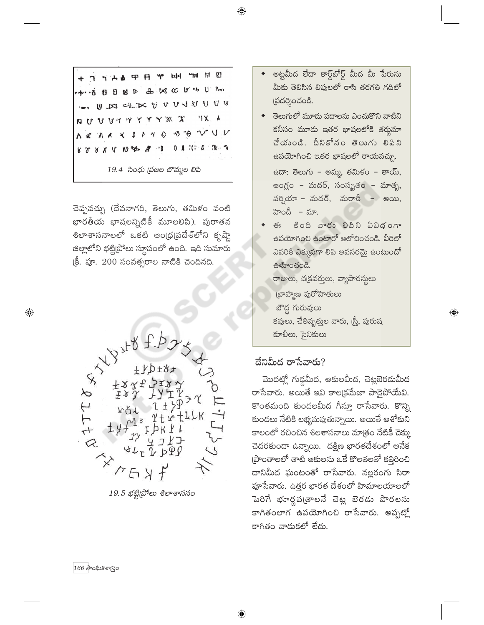A & TH TH H TH H O 品以 CC D' "h U Prot 4" " OBB SP U ES ELECTURATUU X X Y V V V V V V V X  $V$ "ბ "�  $\bullet$  $\wedge$  2 不成 P  $\gamma$ 0.4.700 4  $\cdot$  ) R 2 R X A W D B  $19.4$  సింధు (పజల బొమ్మల లిపి

చెప్పవచ్చు (దేవనాగరి, తెలుగు, తమిళం వంటి భారతీయ భాషలన్నిటికీ మూలలిపి). పురాతన శిలాశాసనాలలో ఒకటి ఆంధ్రప్రదేశ్లోని కృష్ణా జిల్లాలోని భట్టి[పోలు స్థూపంలో ఉంది. ఇది సుమారు క్రీ. పూ. 200 సంవత్సరాల నాటికి చెందినది.



 $19.5$  భట్టి(పోలు శిలాశాసనం

- అట్టమీద లేదా కార్డ్ఐోర్డ్ మీద మీ పేరును మీకు తెలిసిన లిపులలో రాసి తరగతి గదిలో (పదర్శించండి.
- ◆ తెలుగులో మూడు పదాలను ఎంచుకొని వాటిని కనీసం మూడు ఇతర భాషలలోకి తర్జుమా చేయండి. దీనికోనం తెలుగు లిపిని ఉపయోగించి ఇతర భాషలలో రాయవచ్చు. ఉదా: తెలుగు – అమ్మ, తమిళం – తాయ్, ఆంగ్లం – మదర్, సంస్మృతం – మాతృ, పర్వియా – మదర్, మరాఠీ – ఆయి, హిందీ – మా.
- $\mathfrak{S}_3$ కింది వారు లిపిని ఏవిధంగా ఉపయోగించి ఉంటారో ఆలోచించండి. వీరిలో ఎవరికి ఎక్కువగా లిపి అవసరమై ఉంటుందో ఊహించండి. రాజులు, చ(కవర్తులు, వ్యాపారస్థులు

(బాహ్మణ పురోహితులు బౌద్ధ గురువులు కవులు, చేతివృత్తుల వారు, (స్త్రీ, పురుష కూలీలు, సైనికులు

 $\bigoplus$ 

#### దేనిమీద రాసేవారు?

మొదట్లో గుడ్డమీద, ఆకులమీద, చెట్లబెరదుమీద రాసేవారు. అయితే ఇవి కాల(క్రమేణా పాడైపోయేవి. కొంతమంది కుండలమీద గీస్తూ రాసేవారు. కొన్ని కుండలు నేటికి లభ్యమవుతున్నాయి. అయితే అశోకుని కాలంలో రచించిన శిలశాసనాలు మాత్రం నేటికీ చెక్కు చెదరకుండా ఉన్నాయి. దక్షిణ భారతదేశంలో అనేక (పాంతాలలో తాటి ఆకులను ఒకే కొలతలతో కత్తిరించి దానిమీద ఘంటంతో రాసేవారు. నల్లరంగు సిరా పూసేవారు. ఉత్తర భారత దేశంలో హిమాలయాలలో పెరిగే భూర్తపఁతాలనే చెట్ల బెరడు పొరలను కాగితంలాగ ఉపయోగించి రాసేవారు. అప్పట్లో కాగితం వాదుకలో లేదు.

 $166$  సాంఘికశాగ్రుం

 $\bigoplus$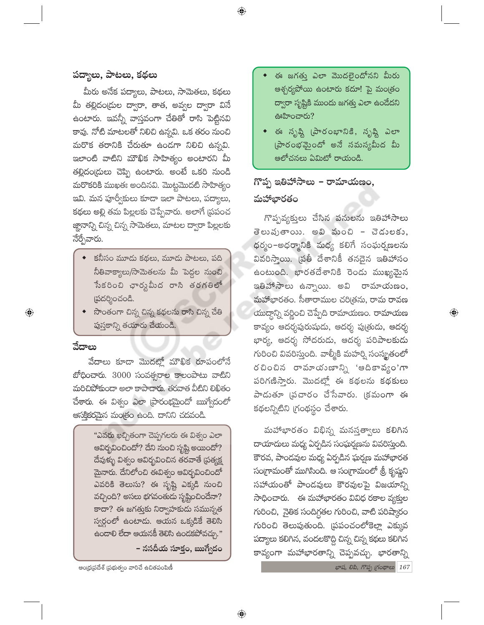## పద్యాలు, పాటలు, కథలు

మీరు అనేక పద్యాలు, పాటలు, సామెతలు, కథలు మీ తల్లిదం(దుల ద్వారా, తాత, అవ్వల ద్వారా వినే ఉంటారు. ఇవన్నీ వాస్తవంగా చేతితో రాసి పెట్టినవి కావు. నోటి మాటలతో నిలిచి ఉన్నవి. ఒక తరం నుంచి మరొక తరానికి చేరుతూ ఉండగా నిలిచి ఉన్నవి. ఇలాంటి వాటిని మౌఖిక సాహిత్యం అంటారని మీ తల్లిదం(దులు చెప్పి ఉంటారు. అంటే ఒకరి నుండి మరొకరికి ముఖతః అందినవి. మొట్టమొదటి సాహిత్యం ఇవి. మన పూర్వీకులు కూడా ఇలా పాటలు, పద్యాలు, కథలు అల్లి తమ పిల్లలకు చెప్పేవారు. అలాగే (పపంచ జ్ఞానాన్ని చిన్న చిన్న సామెతలు, మాటల ద్వారా పిల్లలకు నేర్చేవారు.

- కనీసం మూడు కథలు, మూడు పాటలు, పది నీతివాక్యాలు/సామెతలను మీ పెద్దల నుంచి సేకరించి ఛార్టపీుద రాసి తరగతిలో స్రదర్శించండి.
- సొంతంగా చిన్న చిన్న కథలను రాసి చిన్న చేతి పుస్తకాన్ని తయారు చేయండి.

#### వేదాలు

 $\bigoplus$ 

వేదాలు కూడా మొదట్లో మౌఖిక రూపంలోనే బోధించారు. 3000 సంవత్సరాల కాలంపాటు వాటిని మరిచిపోకుందా అలా కాపాదారు. తరవాత వీటిని లిఖితం చేశారు. ఈ విశ్వం ఎలా ప్రారంభమైందో ఋగ్వేదంలో ఆసక్తికరమైన మంత్రం ఉంది. దానిని చదవండి.

> "ఎవరు ఖచ్చితంగా చెప్పగలరు ఈ విశ్వం ఎలా ఆవిర్భవించిందో? దేని నుంచి సృష్టి అయిందో? దేవుక్ళు విశ్వం ఆవిర్భవించిన తరవాతే (పత్యక్ష మైనారు. దేనిలోంచి ఈవిశ్వం ఆవిర్భవించిందో ఎవరికి తెలుసు? ఈ సృష్టి ఎక్కడి నుంచి వచ్చింది? అసలు భగవంతుడు సృష్టించిందేనా? కాదా? ఈ జగత్తుకు నిర్వాహకుడు సమున్నత స్వర్ధంలో ఉంటాడు. ఆయన ఒక్కడికే తెలిసి ఉందాలి లేదా ఆయనకీ తెలిసి ఉందకపోవచ్చు."

– నసదీయ సూక్తం, ఋగ్వేదం

- ఈ జగత్తు ఎలా మొదలైందోనని మీరు ఆశ్చర్యపోయి ఉంటారు కదూ! పై మంత్రం ద్వారా సృష్టికి ముందు జగత్తు ఎలా ఉండేదని ఊహించారు?
- ఈ సృష్టి (పారంభానికి, సృష్టి ఎలా  $\omega$ రంభమైందో అనే సమస్యమీద మీ ఆలోచనలు ఏమిటో రాయండి.

## గొప్ప ఇతిహాసాలు – రామాయణం, మహాభారతం

గొప్పవ్యక్తులు చేసిన పనులను ఇతిహాసాలు తెలుషుతాయి. అవి మంచి – చెడులకు, ధర్మం–అధర్మానికి మధ్య కలిగే సంఘర్హణలను వివరిస్తాయి. (పతీ దేశానికీ తనదైన ఇతిహాసం ఉంటుంది. భారతదేశానికి రెండు ముఖ్యమైన ఇతిహాసాలు ఉన్నాయి. అవి రామాయణం, మహాభారతం. సీతారాముల చరిత్రను, రామ రావణ యుద్దాన్ని వర్ణించి చెప్పేది రామాయణం. రామాయణ కావ్యం ఆదర్శపురుషుడు, ఆదర్శ పుత్రుడు, ఆదర్శ భార్య, ఆదర్శ సోదరుడు, ఆదర్శ పరిపాలకుడు గురించి వివరిస్తుంది. వాల్మీకి మహర్షి సంస్మృతంలో రచించిన రామాయుణాన్ని 'ఆదికావ్యం'గా పరిగణిస్తారు. మొదట్లో ఈ కథలను కథకులు పాడుతూ (పచారం చేసేవారు. (కమంగా ఈ కథలన్నిటిని గ్రంథస్థం చేశారు.

 $\bigoplus$ 

మహాభారతం విభిన్న మనస్తత్వాలు కలిగిన దాయాదులు మధ్య ఏర్పడిన సంఘర్షణను వివరిస్తుంది. కౌరవ, పాండవుల మధ్య ఏర్పడిన ఘర్షణ మహాభారత సంగ్రామంతో ముగిసింది. ఆ సంగ్రామంలో శ్రీ కృష్ణని సహాయంతో పాండవులు కౌరవులపై విజయాన్ని సాధించారు. ఈ మహాభారతం వివిధ రకాల వ్యక్తుల గురించి, నైతిక సందిగ్గతల గురించి, వాటి పరిష్కారం గురించి తెలుపుతుంది. (పపంచంలోకెల్లా ఎక్కువ పద్యాలు కలిగిన, వందలకొద్ది చిన్న చిన్న కథలు కలిగిన కావ్యంగా మహాభారతాన్ని చెప్పవచ్చు. భారతాన్ని

ఆంధ్రప్రదేశ్ ప్రభుత్వం వారిచే ఉచితపంపిణీ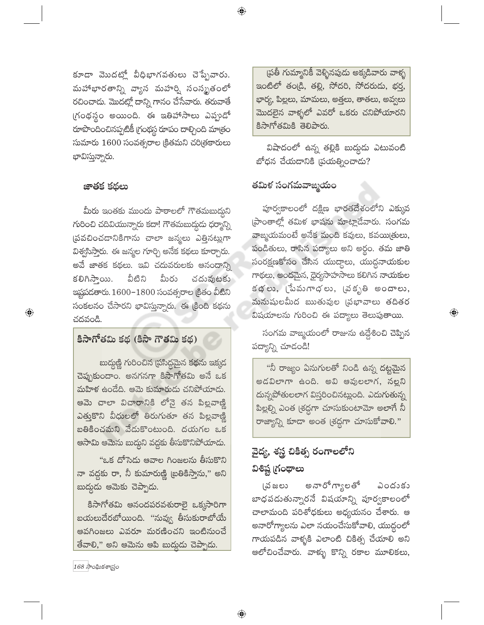కూడా మొదట్లో వీధిభాగవతులు చెప్పేవారు. మహాభారతాన్ని వ్యాస మహర్షి సంస్మృతంలో రచించాడు. మొదట్లో దాన్ని గానం చేసేవారు. తరువాతే గ్రంథస్థం అయింది. ఈ ఇతిహాసాలు ఎప్పుడో రూపొందించినప్పటికీ (గంథస్థ రూపం దాల్చింది మాత్రం సుమారు 1600 సంవత్సరాల క్రితమని చరిత్రకారులు భావిస్తున్నారు.

#### జాతక కథలు

 $\bigoplus$ 

మీరు ఇంతకు ముందు పాఠాలలో గౌతమబుద్దని గురించి చదివియున్నారు కదా! గౌతమబుద్గుడు ధర్మాన్ని <mark>త్రవచించడానికిగాను చాలా జన్మలు ఎత్తినట్</mark>లుగా విశ్వసిస్తారు. ఈ జన్మల గూర్చి అనేక కథలు కూర్చారు. అవే జాతక కథలు. ఇవి చదువరులకు ఆనందాన్ని వీటిని మీరు కలిగిస్తాయి. చదువుటకు ఇష్టపడతారు. 1600-1800 సంవత్సరాల (కితం వీటిని సంకలనం చేసారని భావిస్తున్నారు. ఈ క్రింది కథను చదవండి.

#### కిసాగోతమి కథ (కిసా గౌతమి కథ)

బుద్దుణ్ణి గురించిన (పసిద్ధమైన కథను ఇక్కడ చెప్పుకుందాం. అనగనగా కిసాగోతమి అనే ఒక మహిళ ఉండేది. ఆమె కుమారుడు చనిపోయాడు. .<br>ఆమె చాలా విచారానికి లోనై తన పిల్లవాణ్ణి ఎత్తుకొని వీధులలో తిరుగుతూ తన పిల్లవాణ్ణి బతికించమని వేడుకొంటుంది. దయగల ఒక ఆసామి ఆమెను బుద్ధని వద్దకు తీసుకొనిపోయాడ<mark>ు</mark>.

"ఒక దోసెడు ఆవాల గింజలను తీసుకొని నా వద్దకు రా, నీ కుమారుణ్ణి (బతికిస్తాను," అని బుద్దుడు ఆమెకు చెప్పాడు.

కిసాగోతమి ఆనందపరవశురాలై ఒక్కసారిగా బయలుదేరబోయింది. "నువ్వు తీసుకురాబోయే ఆవగింజలు ఎవరూ మరణించని ఇంటినుంచే తేవాలి," అని ఆమెను ఆపి బుద్దుడు చెప్పాడు.

(పతీ గుమ్మానికీ వెళ్ళినపుడు అక్కడివారు వాళ్ళ ఇంటిలో తండ్రి, తల్లి, సోదరి, సోదరుడు, భర్త, భార్య, పిల్లలు, మామలు, అత్తలు, తాతలు, అవ్వలు ...<br>మొదలైన వాళ్ళలో ఎవరో ఒకరు చనిపోయారని కిసాగోతమికి తెలిపారు.

విషాదంలో ఉన్న తల్లికి బుద్ధుడు ఎటువంటి బోధన చేయదానికి (పయత్నించాడు?

### తమిళ సంగమవాఙ్మయం

పూర్వకాలంలో దక్షిణ భారతదేశంలోని ఎక్కువ ప్రాంతాల్లో తమిళ భాషను మాట్లాడేవారు. సంగమ వాఙ్మయమంటే అనేక మంది కవులు, కవయిత్రులు, పండితులు, రాసిన పద్యాలు అని అర్థం. తమ జాతి సంరక్షణకోసం చేసిన యుద్దాలు, యుద్ధనాయకుల గాథలు, అందమైన, ధైర్యసాహసాలు కలిగిన నాయకుల కథలు, (పేమగాధలు, (వకృతి అందాలు, మనుషులమీద ఋతువుల (పభావాలు తదితర విషయాలను గురించి ఈ పద్యాలు తెలుపుతాయి.

సంగమ వాఙ్మయంలో రాజును ఉద్దేశించి చెప్పిన పద్యాన్ని చూడండి!

 $\textcircled{\scriptsize\textsf{P}}$ 

"నీ రాజ్యం ఏనుగులతో నిండి ఉన్న దట్టమైన అడవిలాగా ఉంది. అవి ఆవులలాగ, నల్లని దున్నపోతులలాగ విస్తరించినట్లుంది. ఎదుగుతున్న పిల్లల్ని ఎంత (శద్దగా చూసుకుంటామో అలాగే నీ రాజ్యాన్ని కూడా అంత (శద్ధగా చూసుకోవాలి."

## వైద్య, శస్త్ర చికిత్స రంగాలలోని విశిష్ట గ్రంథాలు

అనారోగ్యాలతో (వ జలు ఎందుకు బాధపడుతున్నారనే విషయాన్ని పూర్వకాలంలో చాలామంది పరిశోధకులు అధ్యయనం చేశారు. ఆ అనారోగ్యాలను ఎలా నయంచేసుకోవాలి, యుద్ధంలో గాయపడిన వాళ్ళకి ఎలాంటి చికిత్స చేయాలి అని ఆలోచించేవారు. వాళ్ళు కొన్ని రకాల మూలికలు,

 $168\sqrt{3}$ ంఘికశాగ్ర్యం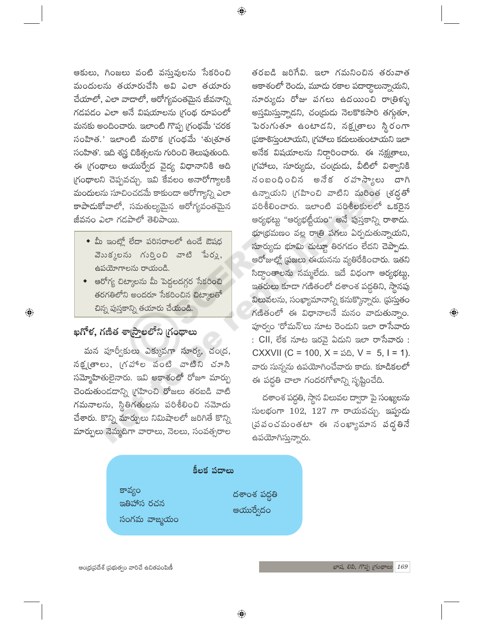ఆకులు, గింజలు వంటి వస్తువులను సేకరించి మందులను తయారుచేసి అవి ఎలా తయారు చేయాలో, ఎలా వాదాలో, ఆరోగ్యవంతమైన జీవనాన్ని గడపడం ఎలా అనే విషయాలను గ్రంథ రూపంలో మనకు అందించారు. ఇలాంటి గొప్ప గ్రంథమే 'చరక సంహిత.' ఇలాంటి మరొక (గంథమే 'శు(శూత సంహిత'. ఇది శస్త్ర చికిత్సలను గురించి తెలుపుతుంది. ఈ గ్రంథాలు ఆయుర్వేద వైద్య విధానానికి ఆది గ్రంథాలని చెప్పవచ్చు. ఇవి కేవలం అనారోగ్యాలకి .<br>మందులను సూచించడమే కాకుండా ఆరోగ్యాన్ని ఎలా కాపాదుకోవాలో, సమతుల్యమైన ఆరోగ్యవంతమైన జీవనం ఎలా గడపాలో తెలిపాయి.

- $\bullet$  మీ ఇంట్లో లేదా పరిసరాలలో ఉండే ఔషధ  $30352$ లను గుర్తించి వాటి పేరు, ఉపయోగాలను రాయండి.
- ఆరోగ్య చిట్మాలను మీ పెద్దలదగ్గర సేకరించి తరగతిలోని అందరూ సేకరించిన చిట్కాలతో చిన్న పుస్తకాన్ని తయారు చేయండి.

#### ఖగోళ, గణిత శా(స్త్రాలలోని గ్రంథాలు

 $\bigoplus$ 

మన పూర్వీకులు ఎక్కువగా సూర్య, చం(ద, నక్ష్మతాలు, (గహాల వంటి వాటిని చూసి సమ్మోహితులైనారు. ఇవి ఆకాశంలో రోజూ మార్పు చెందుతుండదాన్ని (గహించి రోజలు తరబడి వాటి గమనాలను, స్థితిగతులను పరిశీలించి నమోదు చేశారు. కొన్ని మార్పులు నిమిషాలలో జరిగితే కొన్ని మార్పులు నెమ్మదిగా వారాలు, నెలలు, సంవత్సరాల

తరబడి జరిగేవి. ఇలా గమనించిన తరువాత ఆకాశంలో రెండు, మూడు రకాల పదార్థాలున్నాయని, సూర్యుడు రోజు పగలు ఉదయించి రాత్రిళ్ళు అస్తమిస్తున్నాడని, చం(దుడు నెలకొకసారి తగ్గుతూ, పెరుగుతూ ఉంటాడని, నక్షౖతాలు స్థి<mark>రంగా</mark> ప్రకాశిస్తుంటాయని, గ్రహాలు కదులుతుంటాయని ఇలా అనేక విషయాలను నిర్దారించారు. ఈ నక్ష్మతాలు, గ్రహాలు, సూర్యుడు, చం(దుడు, వీటిలో విశ్వానికి నంబంధించిన అనేక రహస్యాలు దాగి ఉన్నాయని గ్రహించి వాటిని మరింత (శద్ధతో పరిశీలించారు. ఇలాంటి పరిశీలకులలో ఒకరైన ఆర్యభట్టు "ఆర్యభట్టీయం" అనే పుస్తకాన్ని రాశాదు. భూ(భమణం వల్ల రాత్రి పగలు ఏర్పడుతున్నాయని, సూర్యుడు భూమి చుట్టూ తిరగడం లేదని చెప్పాడు. ఆరోజుల్లో (పజలు ఈయనను వ్యతిరేకించారు. ఇతని సిద్ధాంతాలను నమ్మలేదు. ఇదే విధంగా <mark>ఆర్యభట్ట</mark>ు, ఇతరులు కూడా గణితంలో దశాంశ పద్దతిని, స్థానపు విలువలను, సంఖ్యామానాన్ని కనుక్కొన్నారు. ద్రస్తుతం గణితంలో ఈ విధానాలనే మనం వాడుతున్నాం. పూర్వం 'రోమన్'లు నూట రెండుని ఇలా రాసేవారు : CII, లేక నూట ఇరవై ఏదుని ఇలా రాసేవారు : CXXVII (C = 100, X =  $\delta \delta$ , V = 5, I = 1). వారు సున్నను ఉపయోగించేవారు కాదు. కూడికలలో ఈ పద్ధతి చాలా గందరగోళాన్ని సృష్టించేది.

దశాంశ పద్ధతి, స్థాన విలువల ద్వారా పై సంఖ్యలను సులభంగా 102, 127 గా రాయవచ్చు. ఇప్పుడు (పపంచమంతటా ఈ సంఖ్యామాన వద్దతినే ఉపయోగిస్తున్నారు.

|                                      | కీలక పదాలు                |
|--------------------------------------|---------------------------|
| కావ్యం<br>ఇతిహాస రచన<br>సంగమ వాఙ్మయం | దశాంశ పద్ధతి<br>ఆయుర్వేదం |

ఆంధ్రప్రదేశ్ (పభుత్వం వారిచే ఉచితపంపిణీ

 $\textcircled{\scriptsize\textsf{P}}$